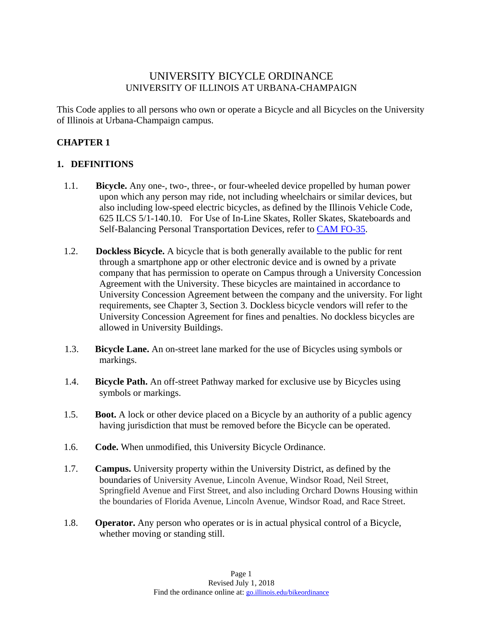### UNIVERSITY BICYCLE ORDINANCE UNIVERSITY OF ILLINOIS AT URBANA-CHAMPAIGN

This Code applies to all persons who own or operate a Bicycle and all Bicycles on the University of Illinois at Urbana-Champaign campus.

### **CHAPTER 1**

#### **1. DEFINITIONS**

- 1.1. **Bicycle.** Any one-, two-, three-, or four-wheeled device propelled by human power upon which any person may ride, not including wheelchairs or similar devices, but also including low-speed electric bicycles, as defined by the Illinois Vehicle Code, 625 ILCS 5/1-140.10. For Use of In-Line Skates, Roller Skates, Skateboards and Self-Balancing Personal Transportation Devices, refer to CAM FO-35.
- 1.2. **Dockless Bicycle.** A bicycle that is both generally available to the public for rent through a smartphone app or other electronic device and is owned by a private company that has permission to operate on Campus through a University Concession Agreement with the University. These bicycles are maintained in accordance to University Concession Agreement between the company and the university. For light requirements, see Chapter 3, Section 3. Dockless bicycle vendors will refer to the University Concession Agreement for fines and penalties. No dockless bicycles are allowed in University Buildings.
- 1.3. **Bicycle Lane.** An on-street lane marked for the use of Bicycles using symbols or markings.
- 1.4. **Bicycle Path.** An off-street Pathway marked for exclusive use by Bicycles using symbols or markings.
- 1.5. **Boot.** A lock or other device placed on a Bicycle by an authority of a public agency having jurisdiction that must be removed before the Bicycle can be operated.
- 1.6. **Code.** When unmodified, this University Bicycle Ordinance.
- 1.7. **Campus.** University property within the University District, as defined by the boundaries of University Avenue, Lincoln Avenue, Windsor Road, Neil Street, Springfield Avenue and First Street, and also including Orchard Downs Housing within the boundaries of Florida Avenue, Lincoln Avenue, Windsor Road, and Race Street.
- 1.8. **Operator.** Any person who operates or is in actual physical control of a Bicycle, whether moving or standing still.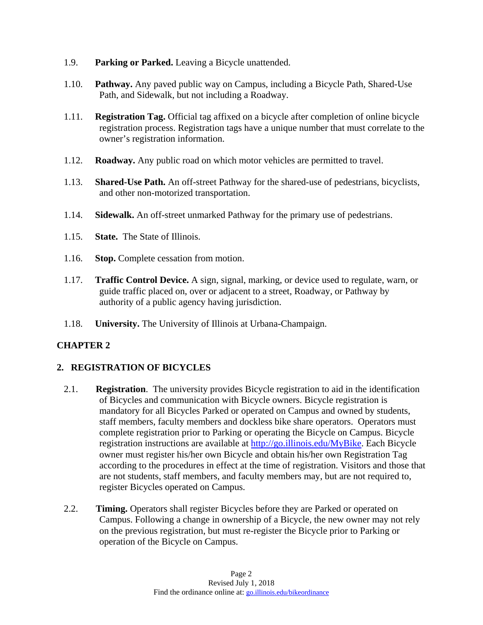- 1.9. **Parking or Parked.** Leaving a Bicycle unattended.
- 1.10. **Pathway.** Any paved public way on Campus, including a Bicycle Path, Shared-Use Path, and Sidewalk, but not including a Roadway.
- 1.11. **Registration Tag.** Official tag affixed on a bicycle after completion of online bicycle registration process. Registration tags have a unique number that must correlate to the owner's registration information.
- 1.12. **Roadway.** Any public road on which motor vehicles are permitted to travel.
- 1.13. **Shared-Use Path.** An off-street Pathway for the shared-use of pedestrians, bicyclists, and other non-motorized transportation.
- 1.14. **Sidewalk.** An off-street unmarked Pathway for the primary use of pedestrians.
- 1.15. **State.** The State of Illinois.
- 1.16. **Stop.** Complete cessation from motion.
- 1.17. **Traffic Control Device.** A sign, signal, marking, or device used to regulate, warn, or guide traffic placed on, over or adjacent to a street, Roadway, or Pathway by authority of a public agency having jurisdiction.
- 1.18. **University.** The University of Illinois at Urbana-Champaign.

# **CHAPTER 2**

#### **2. REGISTRATION OF BICYCLES**

- 2.1. **Registration**. The university provides Bicycle registration to aid in the identification of Bicycles and communication with Bicycle owners. Bicycle registration is mandatory for all Bicycles Parked or operated on Campus and owned by students, staff members, faculty members and dockless bike share operators. Operators must complete registration prior to Parking or operating the Bicycle on Campus. Bicycle registration instructions are available at http://go.illinois.edu/MyBike. Each Bicycle owner must register his/her own Bicycle and obtain his/her own Registration Tag according to the procedures in effect at the time of registration. Visitors and those that are not students, staff members, and faculty members may, but are not required to, register Bicycles operated on Campus.
- 2.2. **Timing.** Operators shall register Bicycles before they are Parked or operated on Campus. Following a change in ownership of a Bicycle, the new owner may not rely on the previous registration, but must re-register the Bicycle prior to Parking or operation of the Bicycle on Campus.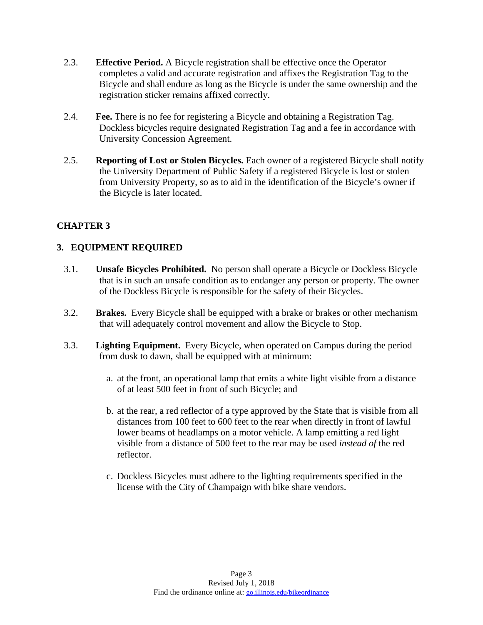- 2.3. **Effective Period.** A Bicycle registration shall be effective once the Operator completes a valid and accurate registration and affixes the Registration Tag to the Bicycle and shall endure as long as the Bicycle is under the same ownership and the registration sticker remains affixed correctly.
- 2.4. **Fee.** There is no fee for registering a Bicycle and obtaining a Registration Tag. Dockless bicycles require designated Registration Tag and a fee in accordance with University Concession Agreement.
- 2.5. **Reporting of Lost or Stolen Bicycles.** Each owner of a registered Bicycle shall notify the University Department of Public Safety if a registered Bicycle is lost or stolen from University Property, so as to aid in the identification of the Bicycle's owner if the Bicycle is later located.

# **CHAPTER 3**

#### **3. EQUIPMENT REQUIRED**

- 3.1. **Unsafe Bicycles Prohibited.** No person shall operate a Bicycle or Dockless Bicycle that is in such an unsafe condition as to endanger any person or property. The owner of the Dockless Bicycle is responsible for the safety of their Bicycles.
- 3.2. **Brakes.** Every Bicycle shall be equipped with a brake or brakes or other mechanism that will adequately control movement and allow the Bicycle to Stop.
- 3.3. **Lighting Equipment.** Every Bicycle, when operated on Campus during the period from dusk to dawn, shall be equipped with at minimum:
	- a. at the front, an operational lamp that emits a white light visible from a distance of at least 500 feet in front of such Bicycle; and
	- b. at the rear, a red reflector of a type approved by the State that is visible from all distances from 100 feet to 600 feet to the rear when directly in front of lawful lower beams of headlamps on a motor vehicle. A lamp emitting a red light visible from a distance of 500 feet to the rear may be used *instead of* the red reflector.
	- c. Dockless Bicycles must adhere to the lighting requirements specified in the license with the City of Champaign with bike share vendors.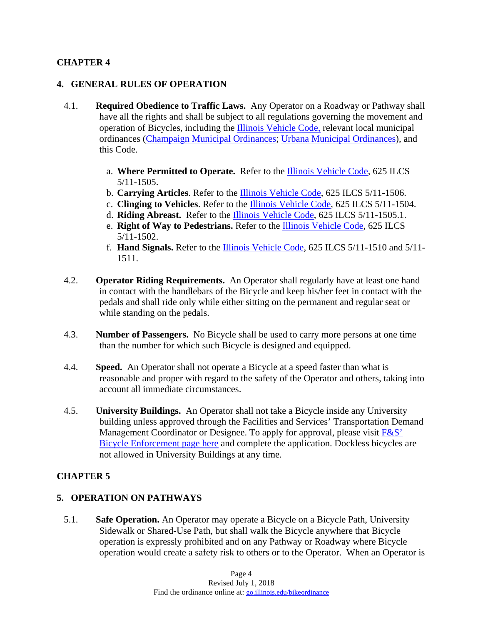### **CHAPTER 4**

#### **4. GENERAL RULES OF OPERATION**

- 4.1. **Required Obedience to Traffic Laws.** Any Operator on a Roadway or Pathway shall have all the rights and shall be subject to all regulations governing the movement and operation of Bicycles, including the Illinois Vehicle Code, relevant local municipal ordinances (Champaign Municipal Ordinances; Urbana Municipal Ordinances), and this Code.
	- a. **Where Permitted to Operate.** Refer to the Illinois Vehicle Code, 625 ILCS 5/11-1505.
	- b. **Carrying Articles**. Refer to the Illinois Vehicle Code, 625 ILCS 5/11-1506.
	- c. **Clinging to Vehicles**. Refer to the Illinois Vehicle Code, 625 ILCS 5/11-1504.
	- d. **Riding Abreast.** Refer to the Illinois Vehicle Code, 625 ILCS 5/11-1505.1.
	- e. **Right of Way to Pedestrians.** Refer to the Illinois Vehicle Code, 625 ILCS 5/11-1502.
	- f. **Hand Signals.** Refer to the Illinois Vehicle Code, 625 ILCS 5/11-1510 and 5/11- 1511.
- 4.2. **Operator Riding Requirements.** An Operator shall regularly have at least one hand in contact with the handlebars of the Bicycle and keep his/her feet in contact with the pedals and shall ride only while either sitting on the permanent and regular seat or while standing on the pedals.
- 4.3. **Number of Passengers.** No Bicycle shall be used to carry more persons at one time than the number for which such Bicycle is designed and equipped.
- 4.4. **Speed.** An Operator shall not operate a Bicycle at a speed faster than what is reasonable and proper with regard to the safety of the Operator and others, taking into account all immediate circumstances.
- 4.5. **University Buildings.** An Operator shall not take a Bicycle inside any University building unless approved through the Facilities and Services' Transportation Demand Management Coordinator or Designee. To apply for approval, please visit  $F&S'$ Bicycle Enforcement page here and complete the application. Dockless bicycles are not allowed in University Buildings at any time.

#### **CHAPTER 5**

#### **5. OPERATION ON PATHWAYS**

5.1. **Safe Operation.** An Operator may operate a Bicycle on a Bicycle Path, University Sidewalk or Shared-Use Path, but shall walk the Bicycle anywhere that Bicycle operation is expressly prohibited and on any Pathway or Roadway where Bicycle operation would create a safety risk to others or to the Operator.When an Operator is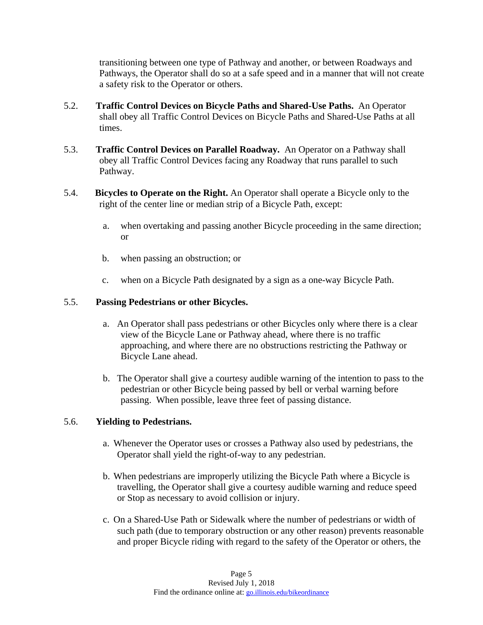transitioning between one type of Pathway and another, or between Roadways and Pathways, the Operator shall do so at a safe speed and in a manner that will not create a safety risk to the Operator or others.

- 5.2. **Traffic Control Devices on Bicycle Paths and Shared-Use Paths.** An Operator shall obey all Traffic Control Devices on Bicycle Paths and Shared-Use Paths at all times.
- 5.3. **Traffic Control Devices on Parallel Roadway.** An Operator on a Pathway shall obey all Traffic Control Devices facing any Roadway that runs parallel to such Pathway.
- 5.4. **Bicycles to Operate on the Right.** An Operator shall operate a Bicycle only to the right of the center line or median strip of a Bicycle Path, except:
	- a. when overtaking and passing another Bicycle proceeding in the same direction; or
	- b. when passing an obstruction; or
	- c. when on a Bicycle Path designated by a sign as a one-way Bicycle Path.

#### 5.5. **Passing Pedestrians or other Bicycles.**

- a. An Operator shall pass pedestrians or other Bicycles only where there is a clear view of the Bicycle Lane or Pathway ahead, where there is no traffic approaching, and where there are no obstructions restricting the Pathway or Bicycle Lane ahead.
- b. The Operator shall give a courtesy audible warning of the intention to pass to the pedestrian or other Bicycle being passed by bell or verbal warning before passing. When possible, leave three feet of passing distance.

#### 5.6. **Yielding to Pedestrians.**

- a. Whenever the Operator uses or crosses a Pathway also used by pedestrians, the Operator shall yield the right-of-way to any pedestrian.
- b. When pedestrians are improperly utilizing the Bicycle Path where a Bicycle is travelling, the Operator shall give a courtesy audible warning and reduce speed or Stop as necessary to avoid collision or injury.
- c. On a Shared-Use Path or Sidewalk where the number of pedestrians or width of such path (due to temporary obstruction or any other reason) prevents reasonable and proper Bicycle riding with regard to the safety of the Operator or others, the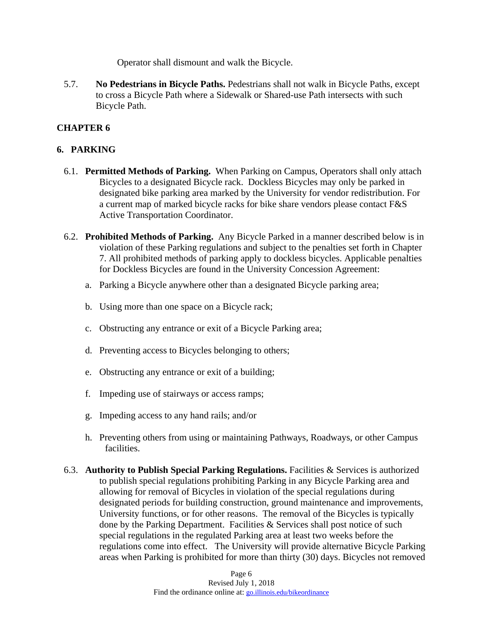Operator shall dismount and walk the Bicycle.

5.7. **No Pedestrians in Bicycle Paths.** Pedestrians shall not walk in Bicycle Paths, except to cross a Bicycle Path where a Sidewalk or Shared-use Path intersects with such Bicycle Path.

# **CHAPTER 6**

### **6. PARKING**

- 6.1. **Permitted Methods of Parking.** When Parking on Campus, Operators shall only attach Bicycles to a designated Bicycle rack. Dockless Bicycles may only be parked in designated bike parking area marked by the University for vendor redistribution. For a current map of marked bicycle racks for bike share vendors please contact F&S Active Transportation Coordinator.
- 6.2. **Prohibited Methods of Parking.** Any Bicycle Parked in a manner described below is in violation of these Parking regulations and subject to the penalties set forth in Chapter 7. All prohibited methods of parking apply to dockless bicycles. Applicable penalties for Dockless Bicycles are found in the University Concession Agreement:
	- a. Parking a Bicycle anywhere other than a designated Bicycle parking area;
	- b. Using more than one space on a Bicycle rack;
	- c. Obstructing any entrance or exit of a Bicycle Parking area;
	- d. Preventing access to Bicycles belonging to others;
	- e. Obstructing any entrance or exit of a building;
	- f. Impeding use of stairways or access ramps;
	- g. Impeding access to any hand rails; and/or
	- h. Preventing others from using or maintaining Pathways, Roadways, or other Campus facilities.
- 6.3. **Authority to Publish Special Parking Regulations.** Facilities & Services is authorized to publish special regulations prohibiting Parking in any Bicycle Parking area and allowing for removal of Bicycles in violation of the special regulations during designated periods for building construction, ground maintenance and improvements, University functions, or for other reasons. The removal of the Bicycles is typically done by the Parking Department. Facilities & Services shall post notice of such special regulations in the regulated Parking area at least two weeks before the regulations come into effect. The University will provide alternative Bicycle Parking areas when Parking is prohibited for more than thirty (30) days. Bicycles not removed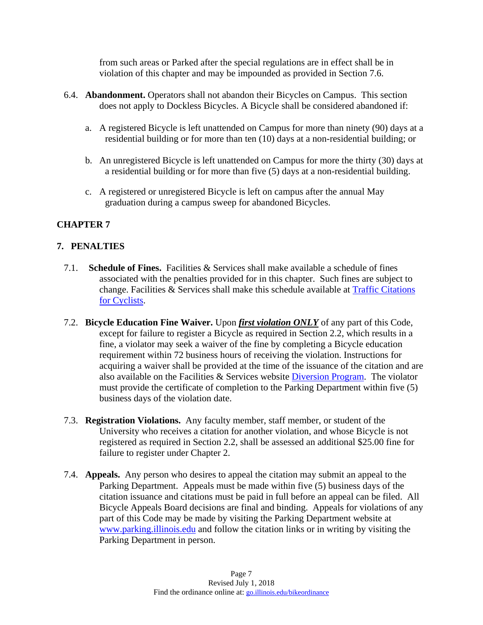from such areas or Parked after the special regulations are in effect shall be in violation of this chapter and may be impounded as provided in Section 7.6.

- 6.4. **Abandonment.** Operators shall not abandon their Bicycles on Campus. This section does not apply to Dockless Bicycles. A Bicycle shall be considered abandoned if:
	- a. A registered Bicycle is left unattended on Campus for more than ninety (90) days at a residential building or for more than ten (10) days at a non-residential building; or
	- b. An unregistered Bicycle is left unattended on Campus for more the thirty (30) days at a residential building or for more than five (5) days at a non-residential building.
	- c. A registered or unregistered Bicycle is left on campus after the annual May graduation during a campus sweep for abandoned Bicycles.

# **CHAPTER 7**

#### **7. PENALTIES**

- 7.1. **Schedule of Fines.** Facilities & Services shall make available a schedule of fines associated with the penalties provided for in this chapter. Such fines are subject to change. Facilities & Services shall make this schedule available at **Traffic Citations** for Cyclists.
- 7.2. **Bicycle Education Fine Waiver.** Upon *first violation ONLY* of any part of this Code, except for failure to register a Bicycle as required in Section 2.2, which results in a fine, a violator may seek a waiver of the fine by completing a Bicycle education requirement within 72 business hours of receiving the violation. Instructions for acquiring a waiver shall be provided at the time of the issuance of the citation and are also available on the Facilities & Services website Diversion Program. The violator must provide the certificate of completion to the Parking Department within five (5) business days of the violation date.
- 7.3. **Registration Violations.** Any faculty member, staff member, or student of the University who receives a citation for another violation, and whose Bicycle is not registered as required in Section 2.2, shall be assessed an additional \$25.00 fine for failure to register under Chapter 2.
- 7.4. **Appeals.** Any person who desires to appeal the citation may submit an appeal to the Parking Department. Appeals must be made within five (5) business days of the citation issuance and citations must be paid in full before an appeal can be filed. All Bicycle Appeals Board decisions are final and binding. Appeals for violations of any part of this Code may be made by visiting the Parking Department website at www.parking.illinois.edu and follow the citation links or in writing by visiting the Parking Department in person.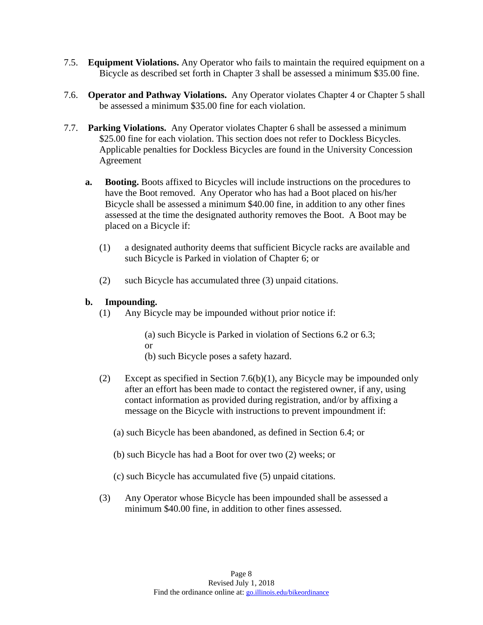- 7.5. **Equipment Violations.** Any Operator who fails to maintain the required equipment on a Bicycle as described set forth in Chapter 3 shall be assessed a minimum \$35.00 fine.
- 7.6. **Operator and Pathway Violations.** Any Operator violates Chapter 4 or Chapter 5 shall be assessed a minimum \$35.00 fine for each violation.
- 7.7. **Parking Violations.** Any Operator violates Chapter 6 shall be assessed a minimum \$25.00 fine for each violation. This section does not refer to Dockless Bicycles. Applicable penalties for Dockless Bicycles are found in the University Concession Agreement
	- **a. Booting.** Boots affixed to Bicycles will include instructions on the procedures to have the Boot removed. Any Operator who has had a Boot placed on his/her Bicycle shall be assessed a minimum \$40.00 fine, in addition to any other fines assessed at the time the designated authority removes the Boot. A Boot may be placed on a Bicycle if:
		- (1) a designated authority deems that sufficient Bicycle racks are available and such Bicycle is Parked in violation of Chapter 6; or
		- (2) such Bicycle has accumulated three (3) unpaid citations.

#### **b. Impounding.**

(1) Any Bicycle may be impounded without prior notice if:

(a) such Bicycle is Parked in violation of Sections 6.2 or 6.3; or

- (b) such Bicycle poses a safety hazard.
- (2) Except as specified in Section 7.6(b)(1), any Bicycle may be impounded only after an effort has been made to contact the registered owner, if any, using contact information as provided during registration, and/or by affixing a message on the Bicycle with instructions to prevent impoundment if:
	- (a) such Bicycle has been abandoned, as defined in Section 6.4; or
	- (b) such Bicycle has had a Boot for over two (2) weeks; or
	- (c) such Bicycle has accumulated five (5) unpaid citations.
- (3) Any Operator whose Bicycle has been impounded shall be assessed a minimum \$40.00 fine, in addition to other fines assessed.